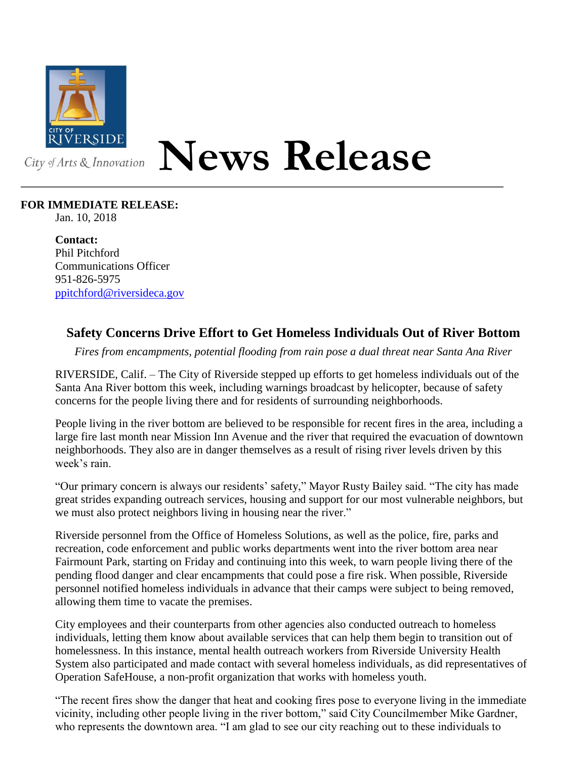

## **News Release**

## **FOR IMMEDIATE RELEASE:**

Jan. 10, 2018

**Contact:** Phil Pitchford Communications Officer 951-826-5975 [ppitchford@riversideca.gov](mailto:ppitchford@riversideca.gov)

## **Safety Concerns Drive Effort to Get Homeless Individuals Out of River Bottom**

*Fires from encampments, potential flooding from rain pose a dual threat near Santa Ana River*

RIVERSIDE, Calif. – The City of Riverside stepped up efforts to get homeless individuals out of the Santa Ana River bottom this week, including warnings broadcast by helicopter, because of safety concerns for the people living there and for residents of surrounding neighborhoods.

People living in the river bottom are believed to be responsible for recent fires in the area, including a large fire last month near Mission Inn Avenue and the river that required the evacuation of downtown neighborhoods. They also are in danger themselves as a result of rising river levels driven by this week's rain.

"Our primary concern is always our residents' safety," Mayor Rusty Bailey said. "The city has made great strides expanding outreach services, housing and support for our most vulnerable neighbors, but we must also protect neighbors living in housing near the river."

Riverside personnel from the Office of Homeless Solutions, as well as the police, fire, parks and recreation, code enforcement and public works departments went into the river bottom area near Fairmount Park, starting on Friday and continuing into this week, to warn people living there of the pending flood danger and clear encampments that could pose a fire risk. When possible, Riverside personnel notified homeless individuals in advance that their camps were subject to being removed, allowing them time to vacate the premises.

City employees and their counterparts from other agencies also conducted outreach to homeless individuals, letting them know about available services that can help them begin to transition out of homelessness. In this instance, mental health outreach workers from Riverside University Health System also participated and made contact with several homeless individuals, as did representatives of Operation SafeHouse, a non-profit organization that works with homeless youth.

"The recent fires show the danger that heat and cooking fires pose to everyone living in the immediate vicinity, including other people living in the river bottom," said City Councilmember Mike Gardner, who represents the downtown area. "I am glad to see our city reaching out to these individuals to